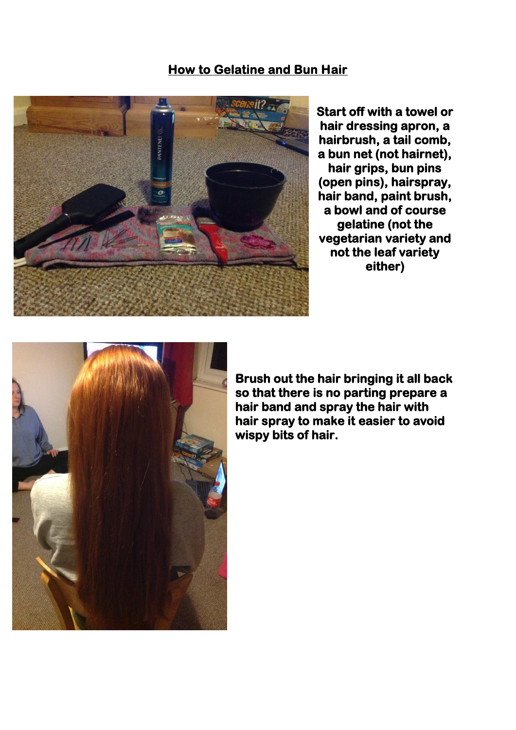## **How to Gelatine and Bun Hair**



**Start off with a towel or hair dressing apron, a hairbrush, a tail comb, a bun net (not hairnet), hair grips, bun pins (open pins), hairspray, hair band, paint brush, a bowl and of course gelatine (not the vegetarian variety and not the leaf variety either)** 



**Brush out the hair bringing it all back so that there is no parting prepare a hair band and spray the hair with hair spray to make it easier to avoid wispy bits of hair.**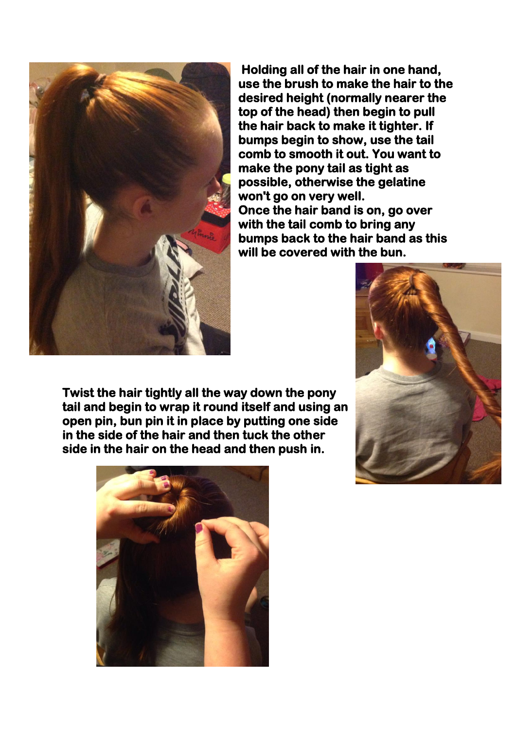

 **Holding all of the hair in one hand, use the brush to make the hair to the desired height (normally nearer the top of the head) then begin to pull the hair back to make it tighter. If bumps begin to show, use the tail comb to smooth it out. You want to make the pony tail as tight as possible, otherwise the gelatine won't go on very well. Once the hair band is on, go over with the tail comb to bring any bumps back to the hair band as this will be covered with the bun.** 

**Twist the hair tightly all the way down the pony tail and begin to wrap it round itself and using an open pin, bun pin it in place by putting one side in the side of the hair and then tuck the other side in the hair on the head and then push in.** 



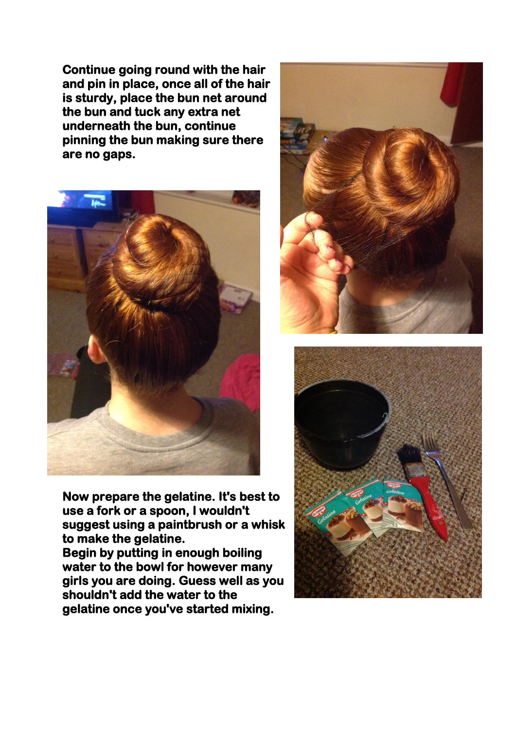**Continue going round with the hair and pin in place, once all of the hair is sturdy, place the bun net around the bun and tuck any extra net underneath the bun, continue pinning the bun making sure there are no gaps.** 



**Now prepare the gelatine. It's best to use a fork or a spoon, I wouldn't suggest using a paintbrush or a whisk to make the gelatine. Begin by putting in enough boiling water to the bowl for however many girls you are doing. Guess well as you** 

**shouldn't add the water to the gelatine once you've started mixing.** 



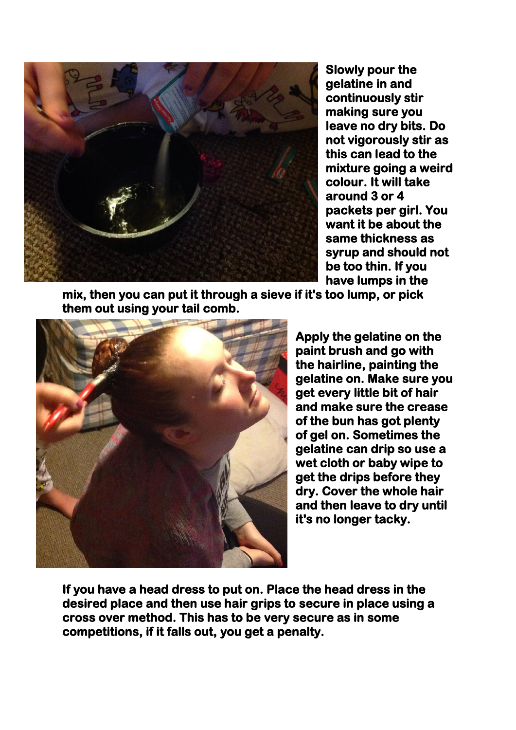

**Slowly pour the gelatine in and continuously stir making sure you leave no dry bits. Do not vigorously stir as this can lead to the mixture going a weird colour. It will take around 3 or 4 packets per girl. You want it be about the same thickness as syrup and should not be too thin. If you have lumps in the** 

**mix, then you can put it through a sieve if it's too lump, or pick them out using your tail comb.** 



**Apply the gelatine on the paint brush and go with the hairline, painting the gelatine on. Make sure you get every little bit of hair and make sure the crease of the bun has got plenty of gel on. Sometimes the gelatine can drip so use a wet cloth or baby wipe to get the drips before they dry. Cover the whole hair and then leave to dry until it's no longer tacky.** 

**If you have a head dress to put on. Place the head dress in the desired place and then use hair grips to secure in place using a cross over method. This has to be very secure as in some competitions, if it falls out, you get a penalty.**